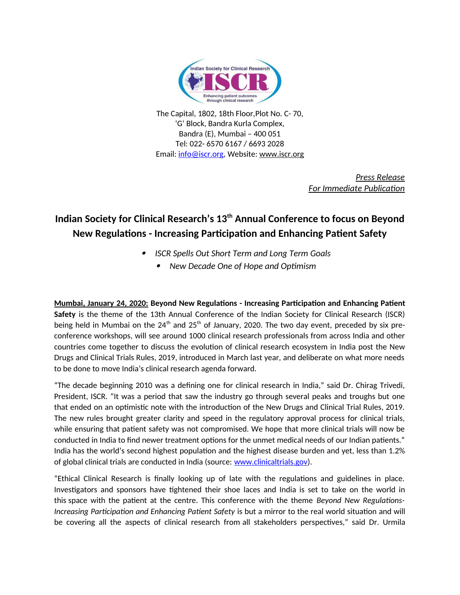

The Capital, 1802, 18th Floor,Plot No. C- 70, 'G' Block, Bandra Kurla Complex, Bandra (E), Mumbai – 400 051 Tel: 022- 6570 6167 / 6693 2028 Email: [info@iscr.org,](mailto:info@iscr.org) Website: www.iscr.org

> *Press Release For Immediate Publication*

# **Indian Society for Clinical Research's 13th Annual Conference to focus on Beyond New Regulations - Increasing Participation and Enhancing Patient Safety**

- 0 *ISCR Spells Out Short Term and Long Term Goals*
	- . *New Decade One of Hope and Optimism*

**Mumbai, January 24, 2020: Beyond New Regulations - Increasing Participation and Enhancing Patient Safety** is the theme of the 13th Annual Conference of the Indian Society for Clinical Research (ISCR) being held in Mumbai on the  $24<sup>th</sup>$  and  $25<sup>th</sup>$  of January, 2020. The two day event, preceded by six preconference workshops, will see around 1000 clinical research professionals from across India and other countries come together to discuss the evolution of clinical research ecosystem in India post the New Drugs and Clinical Trials Rules, 2019, introduced in March last year, and deliberate on what more needs to be done to move India's clinical research agenda forward.

"The decade beginning 2010 was a defining one for clinical research in India," said Dr. Chirag Trivedi, President, ISCR. "It was a period that saw the industry go through several peaks and troughs but one that ended on an optimistic note with the introduction of the New Drugs and Clinical Trial Rules, 2019. The new rules brought greater clarity and speed in the regulatory approval process for clinical trials, while ensuring that patient safety was not compromised. We hope that more clinical trials will now be conducted in India to find newer treatment options for the unmet medical needs of our Indian patients." India has the world's second highest population and the highest disease burden and yet, less than 1.2% of global clinical trials are conducted in India (source: [www.clinicaltrials.gov\)](http://www.clinicaltrials.gov/).

"Ethical Clinical Research is finally looking up of late with the regulations and guidelines in place. Investigators and sponsors have tightened their shoe laces and India is set to take on the world in this space with the patient at the centre. This conference with the theme *Beyond New Regulations-Increasing Participation and Enhancing Patient Safety* is but a mirror to the real world situation and will be covering all the aspects of clinical research from all stakeholders perspectives," said Dr. Urmila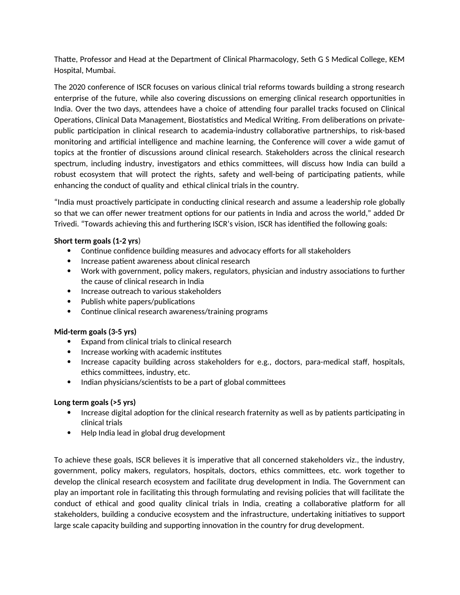Thatte, Professor and Head at the Department of Clinical Pharmacology, Seth G S Medical College, KEM Hospital, Mumbai.

The 2020 conference of ISCR focuses on various clinical trial reforms towards building a strong research enterprise of the future, while also covering discussions on emerging clinical research opportunities in India. Over the two days, attendees have a choice of attending four parallel tracks focused on Clinical Operations, Clinical Data Management, Biostatistics and Medical Writing. From deliberations on privatepublic participation in clinical research to academia-industry collaborative partnerships, to risk-based monitoring and artificial intelligence and machine learning, the Conference will cover a wide gamut of topics at the frontier of discussions around clinical research. Stakeholders across the clinical research spectrum, including industry, investigators and ethics committees, will discuss how India can build a robust ecosystem that will protect the rights, safety and well-being of participating patients, while enhancing the conduct of quality and ethical clinical trials in the country.

"India must proactively participate in conducting clinical research and assume a leadership role globally so that we can offer newer treatment options for our patients in India and across the world," added Dr Trivedi. "Towards achieving this and furthering ISCR's vision, ISCR has identified the following goals:

### **Short term goals (1-2 yrs**)

- Continue confidence building measures and advocacy efforts for all stakeholders
- Increase patient awareness about clinical research
- Work with government, policy makers, regulators, physician and industry associations to further the cause of clinical research in India
- Increase outreach to various stakeholders
- Publish white papers/publications
- Continue clinical research awareness/training programs

#### **Mid-term goals (3-5 yrs)**

- Expand from clinical trials to clinical research
- $\bullet$  Increase working with academic institutes
- Increase capacity building across stakeholders for e.g., doctors, para-medical staff, hospitals, ethics committees, industry, etc.
- Indian physicians/scientists to be a part of global committees

#### **Long term goals (>5 yrs)**

- Increase digital adoption for the clinical research fraternity as well as by patients participating in clinical trials
- Help India lead in global drug development

To achieve these goals, ISCR believes it is imperative that all concerned stakeholders viz., the industry, government, policy makers, regulators, hospitals, doctors, ethics committees, etc. work together to develop the clinical research ecosystem and facilitate drug development in India. The Government can play an important role in facilitating this through formulating and revising policies that will facilitate the conduct of ethical and good quality clinical trials in India, creating a collaborative platform for all stakeholders, building a conducive ecosystem and the infrastructure, undertaking initiatives to support large scale capacity building and supporting innovation in the country for drug development.